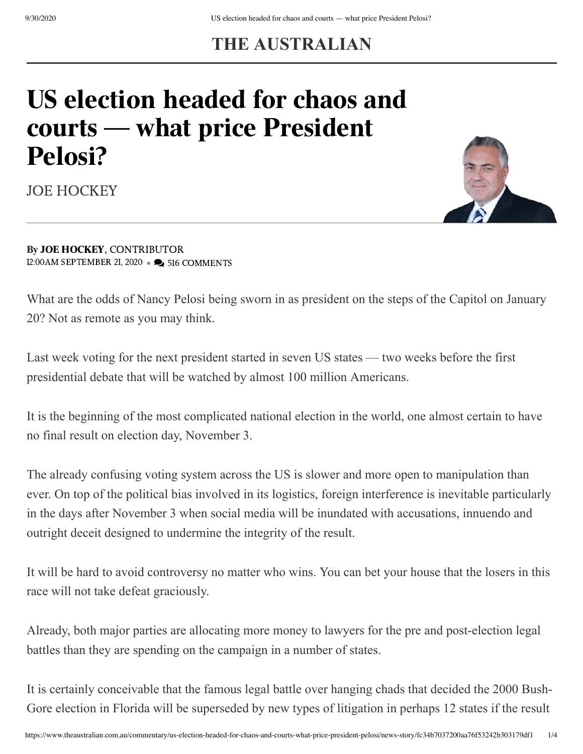## **THE AUSTRALIAN**

## US election headed for chaos and courts — what price President Pelosi?



[JOE HOCKEY](https://www.theaustralian.com.au/author/Joe+Hockey)

By JOE [HOCKEY,](https://www.theaustralian.com.au/author/Joe+Hockey) CONTRIBUTOR 12:00AM SEPTEMBER 21, 2020 • 2 516 COMMENTS

What are the odds of Nancy Pelosi being sworn in as president on the steps of the Capitol on January 20? Not as remote as you may think.

Last week voting for the next president started in seven US states — two weeks before the first presidential debate that will be watched by almost 100 million Americans.

It is the beginning of the most complicated national election in the world, one almost certain to have no final result on election day, November 3.

The already confusing voting system across the US is slower and more open to manipulation than ever. On top of the political bias involved in its logistics, foreign interference is inevitable particularly in the days after November 3 when social media will be inundated with accusations, innuendo and outright deceit designed to undermine the integrity of the result.

It will be hard to avoid controversy no matter who wins. You can bet your house that the losers in this race will not take defeat graciously.

Already, both major parties are allocating more money to lawyers for the pre and post-election legal battles than they are spending on the campaign in a number of states.

It is certainly conceivable that the famous legal battle over hanging chads that decided the 2000 Bush-Gore election in Florida will be superseded by new types of litigation in perhaps 12 states if the result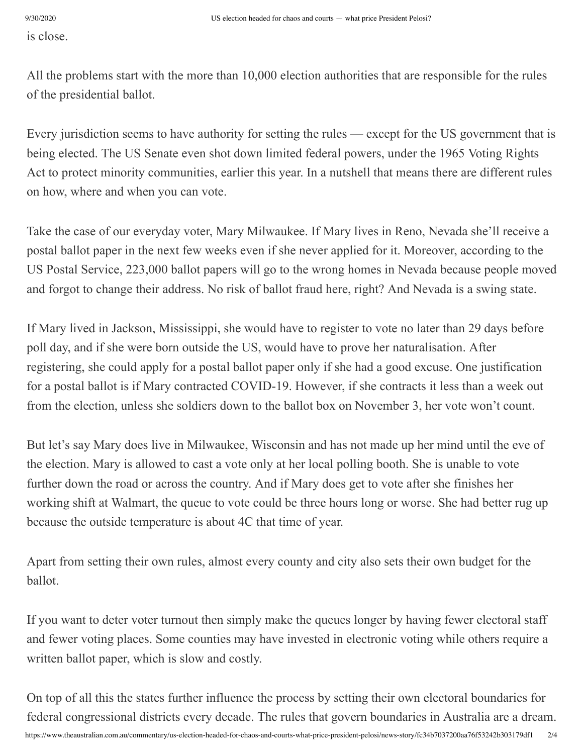is close.

All the problems start with the more than 10,000 election authorities that are responsible for the rules of the presidential ballot.

Every jurisdiction seems to have authority for setting the rules — except for the US government that is being elected. The US Senate even shot down limited federal powers, under the 1965 Voting Rights Act to protect minority communities, earlier this year. In a nutshell that means there are different rules on how, where and when you can vote.

Take the case of our everyday voter, Mary Milwaukee. If Mary lives in Reno, Nevada she'll receive a postal ballot paper in the next few weeks even if she never applied for it. Moreover, according to the US Postal Service, 223,000 ballot papers will go to the wrong homes in Nevada because people moved and forgot to change their address. No risk of ballot fraud here, right? And Nevada is a swing state.

If Mary lived in Jackson, Mississippi, she would have to register to vote no later than 29 days before poll day, and if she were born outside the US, would have to prove her naturalisation. After registering, she could apply for a postal ballot paper only if she had a good excuse. One justification for a postal ballot is if Mary contracted COVID-19. However, if she contracts it less than a week out from the election, unless she soldiers down to the ballot box on November 3, her vote won't count.

But let's say Mary does live in Milwaukee, Wisconsin and has not made up her mind until the eve of the election. Mary is allowed to cast a vote only at her local polling booth. She is unable to vote further down the road or across the country. And if Mary does get to vote after she finishes her working shift at Walmart, the queue to vote could be three hours long or worse. She had better rug up because the outside temperature is about 4C that time of year.

Apart from setting their own rules, almost every county and city also sets their own budget for the ballot.

If you want to deter voter turnout then simply make the queues longer by having fewer electoral staff and fewer voting places. Some counties may have invested in electronic voting while others require a written ballot paper, which is slow and costly.

https://www.theaustralian.com.au/commentary/us-election-headed-for-chaos-and-courts-what-price-president-pelosi/news-story/fc34b7037200aa76f53242b303179df1 2/4 On top of all this the states further influence the process by setting their own electoral boundaries for federal congressional districts every decade. The rules that govern boundaries in Australia are a dream.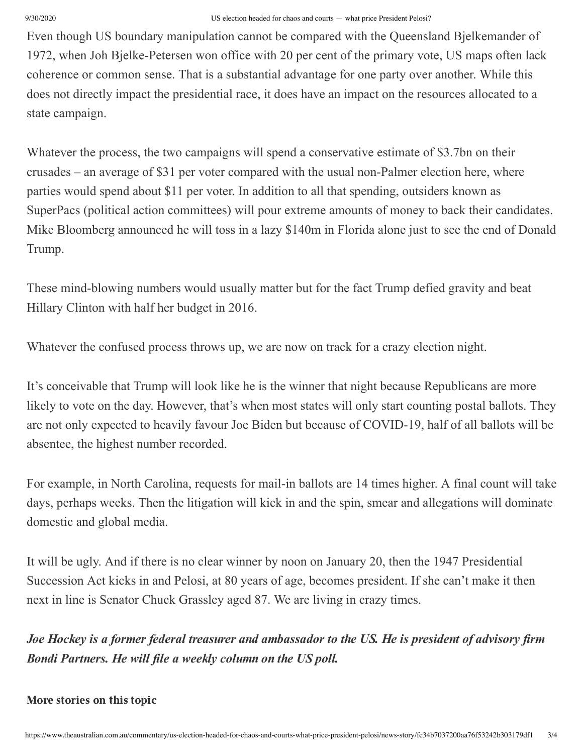## 9/30/2020 US election headed for chaos and courts — what price President Pelosi?

Even though US boundary manipulation cannot be compared with the Queensland Bjelkemander of 1972, when Joh Bjelke-Petersen won office with 20 per cent of the primary vote, US maps often lack coherence or common sense. That is a substantial advantage for one party over another. While this does not directly impact the presidential race, it does have an impact on the resources allocated to a state campaign.

Whatever the process, the two campaigns will spend a conservative estimate of \$3.7bn on their crusades – an average of \$31 per voter compared with the usual non-Palmer election here, where parties would spend about \$11 per voter. In addition to all that spending, outsiders known as SuperPacs (political action committees) will pour extreme amounts of money to back their candidates. Mike Bloomberg announced he will toss in a lazy \$140m in Florida alone just to see the end of Donald Trump.

These mind-blowing numbers would usually matter but for the fact Trump defied gravity and beat Hillary Clinton with half her budget in 2016.

Whatever the confused process throws up, we are now on track for a crazy election night.

It's conceivable that Trump will look like he is the winner that night because Republicans are more likely to vote on the day. However, that's when most states will only start counting postal ballots. They are not only expected to heavily favour Joe Biden but because of COVID-19, half of all ballots will be absentee, the highest number recorded.

For example, in North Carolina, requests for mail-in ballots are 14 times higher. A final count will take days, perhaps weeks. Then the litigation will kick in and the spin, smear and allegations will dominate domestic and global media.

It will be ugly. And if there is no clear winner by noon on January 20, then the 1947 Presidential Succession Act kicks in and Pelosi, at 80 years of age, becomes president. If she can't make it then next in line is Senator Chuck Grassley aged 87. We are living in crazy times.

*Joe Hockey is a former federal treasurer and ambassador to the US. He is president of advisory firm Bondi Partners. He will file a weekly column on the US poll.*

## More stories on this topic